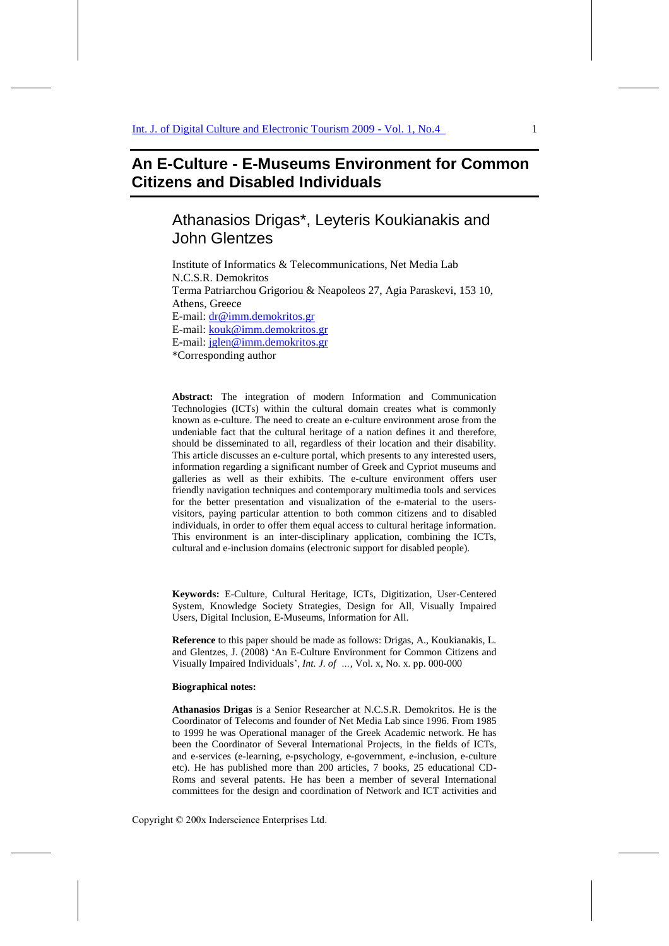# **An E-Culture - E-Museums Environment for Common Citizens and Disabled Individuals**

# Athanasios Drigas\*, Leyteris Koukianakis and John Glentzes

Institute of Informatics & Telecommunications, Net Media Lab N.C.S.R. Demokritos Terma Patriarchou Grigoriou & Neapoleos 27, Agia Paraskevi, 153 10, Athens, Greece E-mail: [dr@imm.demokritos.gr](mailto:dr@imm.demokritos.gr) E-mail: kouk@imm.demokritos.gr E-mail: jglen@imm.demokritos.gr \*Corresponding author

**Abstract:** The integration of modern Information and Communication Technologies (ICTs) within the cultural domain creates what is commonly known as e-culture. The need to create an e-culture environment arose from the undeniable fact that the cultural heritage of a nation defines it and therefore, should be disseminated to all, regardless of their location and their disability. This article discusses an e-culture portal, which presents to any interested users, information regarding a significant number of Greek and Cypriot museums and galleries as well as their exhibits. The e-culture environment offers user friendly navigation techniques and contemporary multimedia tools and services for the better presentation and visualization of the e-material to the usersvisitors, paying particular attention to both common citizens and to disabled individuals, in order to offer them equal access to cultural heritage information. This environment is an inter-disciplinary application, combining the ICTs, cultural and e-inclusion domains (electronic support for disabled people).

**Keywords:** E-Culture, Cultural Heritage, ICTs, Digitization, User-Centered System, Knowledge Society Strategies, Design for All, Visually Impaired Users, Digital Inclusion, E-Museums, Information for All.

**Reference** to this paper should be made as follows: Drigas, A., Koukianakis, L. and Glentzes, J. (2008) "An E-Culture Environment for Common Citizens and Visually Impaired Individuals", *Int. J. of …,* Vol. x, No. x. pp. 000-000

#### **Biographical notes:**

**Athanasios Drigas** is a Senior Researcher at N.C.S.R. Demokritos. He is the Coordinator of Telecoms and founder of Net Media Lab since 1996. From 1985 to 1999 he was Operational manager of the Greek Academic network. He has been the Coordinator of Several International Projects, in the fields of ICTs, and e-services (e-learning, e-psychology, e-government, e-inclusion, e-culture etc). He has published more than 200 articles, 7 books, 25 educational CD-Roms and several patents. He has been a member of several International committees for the design and coordination of Network and ICT activities and

Copyright © 200x Inderscience Enterprises Ltd.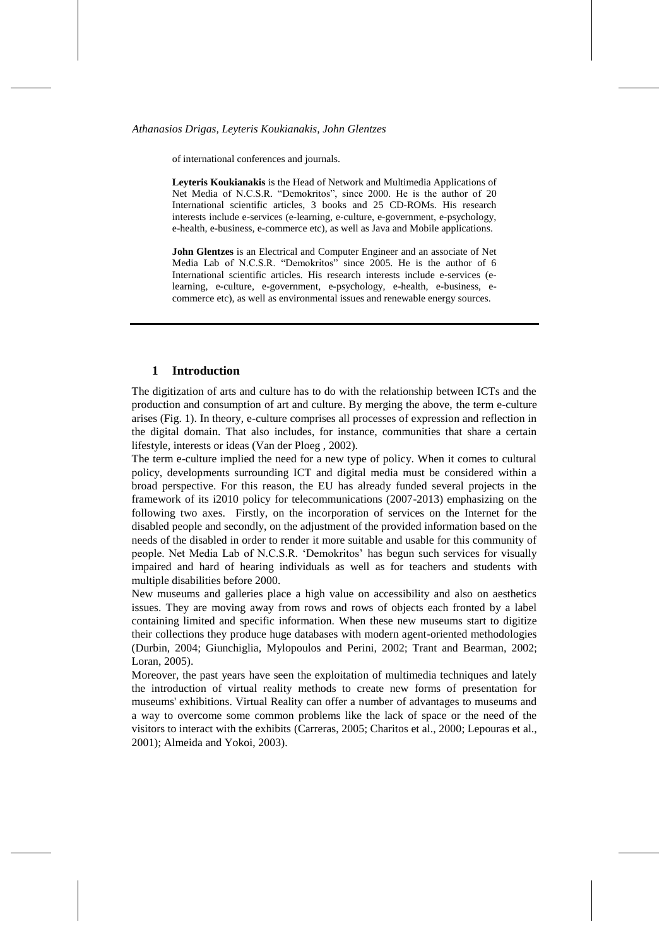of international conferences and journals.

**Leyteris Koukianakis** is the Head of Network and Multimedia Applications of Net Media of N.C.S.R. "Demokritos", since 2000. He is the author of 20 International scientific articles, 3 books and 25 CD-ROMs. His research interests include e-services (e-learning, e-culture, e-government, e-psychology, e-health, e-business, e-commerce etc), as well as Java and Mobile applications.

**John Glentzes** is an Electrical and Computer Engineer and an associate of Net Media Lab of N.C.S.R. "Demokritos" since 2005. He is the author of 6 International scientific articles. His research interests include e-services (elearning, e-culture, e-government, e-psychology, e-health, e-business, ecommerce etc), as well as environmental issues and renewable energy sources.

## **1 Introduction**

The digitization of arts and culture has to do with the relationship between ICTs and the production and consumption of art and culture. By merging the above, the term e-culture arises (Fig. 1). In theory, e-culture comprises all processes of expression and reflection in the digital domain. That also includes, for instance, communities that share a certain lifestyle, interests or ideas (Van der Ploeg , 2002).

The term e-culture implied the need for a new type of policy. When it comes to cultural policy, developments surrounding ICT and digital media must be considered within a broad perspective. For this reason, the EU has already funded several projects in the framework of its i2010 policy for telecommunications (2007-2013) emphasizing on the following two axes. Firstly, on the incorporation of services on the Internet for the disabled people and secondly, on the adjustment of the provided information based on the needs of the disabled in order to render it more suitable and usable for this community of people. Net Media Lab of N.C.S.R. "Demokritos" has begun such services for visually impaired and hard of hearing individuals as well as for teachers and students with multiple disabilities before 2000.

New museums and galleries place a high value on accessibility and also on aesthetics issues. They are moving away from rows and rows of objects each fronted by a label containing limited and specific information. When these new museums start to digitize their collections they produce huge databases with modern agent-oriented methodologies (Durbin, 2004; Giunchiglia, Mylopoulos and Perini, 2002; Trant and Bearman, 2002; Loran, 2005).

Moreover, the past years have seen the exploitation of multimedia techniques and lately the introduction of virtual reality methods to create new forms of presentation for museums' exhibitions. Virtual Reality can offer a number of advantages to museums and a way to overcome some common problems like the lack of space or the need of the visitors to interact with the exhibits (Carreras, 2005; Charitos et al., 2000; Lepouras et al., 2001); Almeida and Yokoi, 2003).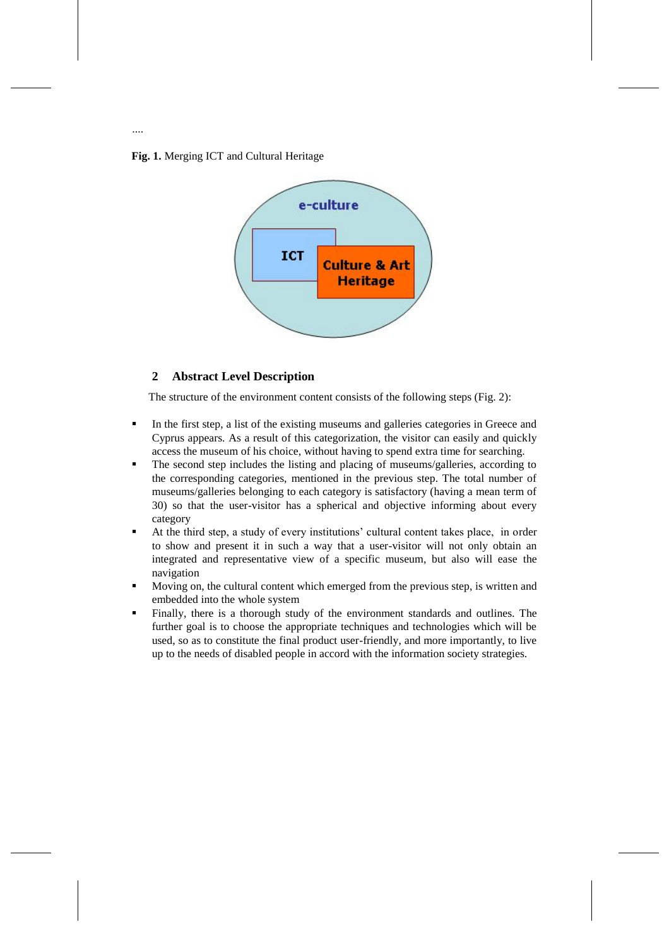**Fig. 1.** Merging ICT and Cultural Heritage



# **2 Abstract Level Description**

The structure of the environment content consists of the following steps (Fig. 2):

- In the first step, a list of the existing museums and galleries categories in Greece and Cyprus appears. As a result of this categorization, the visitor can easily and quickly access the museum of his choice, without having to spend extra time for searching.
- The second step includes the listing and placing of museums/galleries, according to the corresponding categories, mentioned in the previous step. The total number of museums/galleries belonging to each category is satisfactory (having a mean term of 30) so that the user-visitor has a spherical and objective informing about every category
- At the third step, a study of every institutions" cultural content takes place, in order to show and present it in such a way that a user-visitor will not only obtain an integrated and representative view of a specific museum, but also will ease the navigation
- Moving on, the cultural content which emerged from the previous step, is written and embedded into the whole system
- Finally, there is a thorough study of the environment standards and outlines. The further goal is to choose the appropriate techniques and technologies which will be used, so as to constitute the final product user-friendly, and more importantly, to live up to the needs of disabled people in accord with the information society strategies.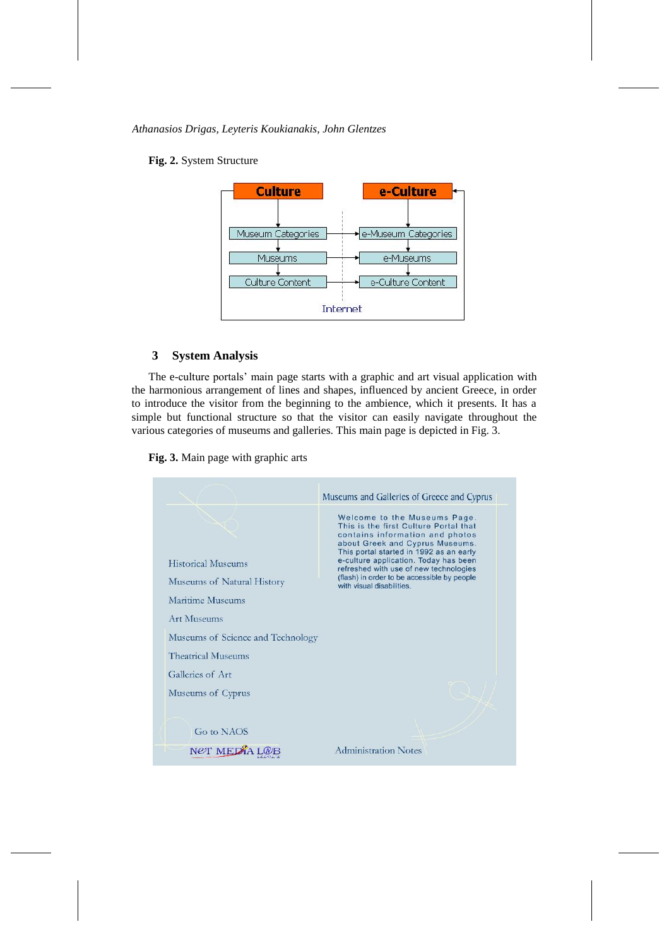# **Fig. 2.** System Structure



# **3 System Analysis**

The e-culture portals' main page starts with a graphic and art visual application with the harmonious arrangement of lines and shapes, influenced by ancient Greece, in order to introduce the visitor from the beginning to the ambience, which it presents. It has a simple but functional structure so that the visitor can easily navigate throughout the various categories of museums and galleries. This main page is depicted in Fig. 3.

**Fig. 3.** Main page with graphic arts

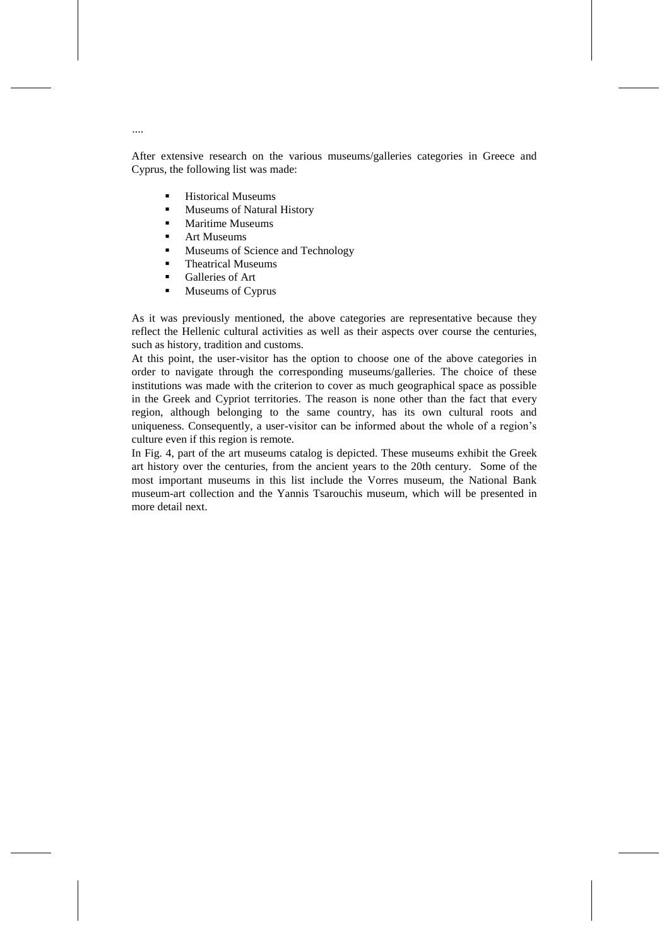After extensive research on the various museums/galleries categories in Greece and Cyprus, the following list was made:

- Historical Museums
- **Museums of Natural History**
- Maritime Museums
- Art Museums
- Museums of Science and Technology
- **Theatrical Museums**
- Galleries of Art
- **Museums of Cyprus**

As it was previously mentioned, the above categories are representative because they reflect the Hellenic cultural activities as well as their aspects over course the centuries, such as history, tradition and customs.

At this point, the user-visitor has the option to choose one of the above categories in order to navigate through the corresponding museums/galleries. The choice of these institutions was made with the criterion to cover as much geographical space as possible in the Greek and Cypriot territories. The reason is none other than the fact that every region, although belonging to the same country, has its own cultural roots and uniqueness. Consequently, a user-visitor can be informed about the whole of a region"s culture even if this region is remote.

In Fig. 4, part of the art museums catalog is depicted. These museums exhibit the Greek art history over the centuries, from the ancient years to the 20th century. Some of the most important museums in this list include the Vorres museum, the National Bank museum-art collection and the Yannis Tsarouchis museum, which will be presented in more detail next.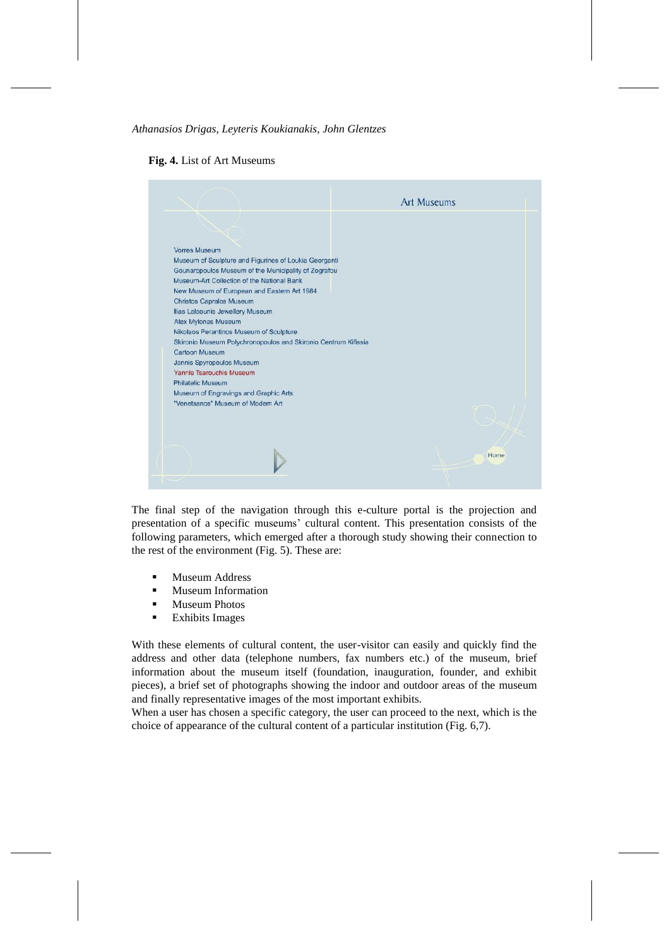



The final step of the navigation through this e-culture portal is the projection and presentation of a specific museums" cultural content. This presentation consists of the following parameters, which emerged after a thorough study showing their connection to the rest of the environment (Fig. 5). These are:

- Museum Address
- Museum Information
- **Museum Photos**
- **Exhibits Images**

With these elements of cultural content, the user-visitor can easily and quickly find the address and other data (telephone numbers, fax numbers etc.) of the museum, brief information about the museum itself (foundation, inauguration, founder, and exhibit pieces), a brief set of photographs showing the indoor and outdoor areas of the museum and finally representative images of the most important exhibits.

When a user has chosen a specific category, the user can proceed to the next, which is the choice of appearance of the cultural content of a particular institution (Fig. 6,7).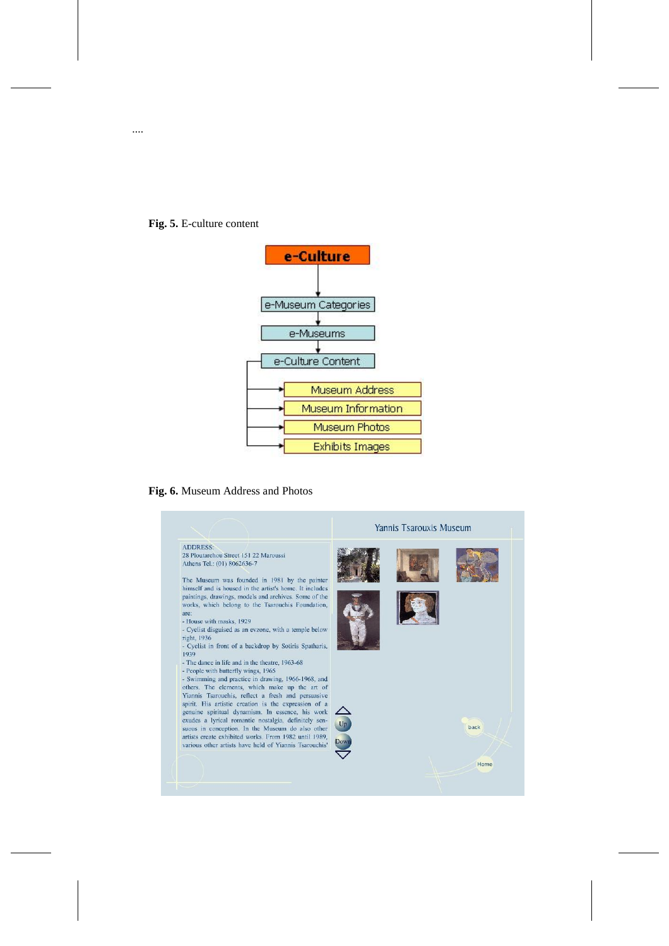

**Fig. 5.** E-culture content

**Fig. 6.** Museum Address and Photos

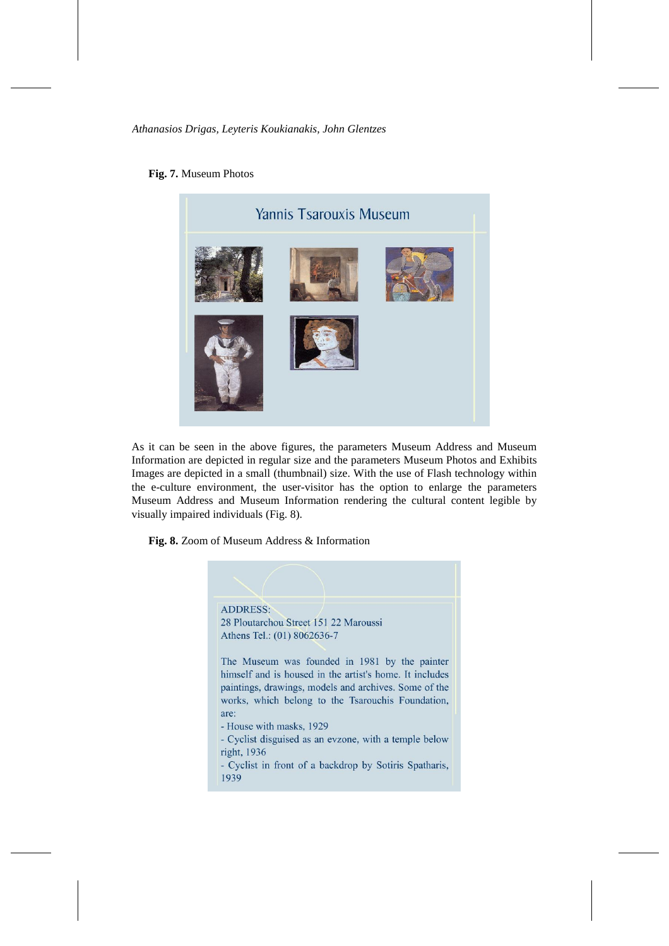

## **Fig. 7.** Museum Photos

As it can be seen in the above figures, the parameters Museum Address and Museum Information are depicted in regular size and the parameters Museum Photos and Exhibits Images are depicted in a small (thumbnail) size. With the use of Flash technology within the e-culture environment, the user-visitor has the option to enlarge the parameters Museum Address and Museum Information rendering the cultural content legible by visually impaired individuals (Fig. 8).

### **Fig. 8.** Zoom of Museum Address & Information

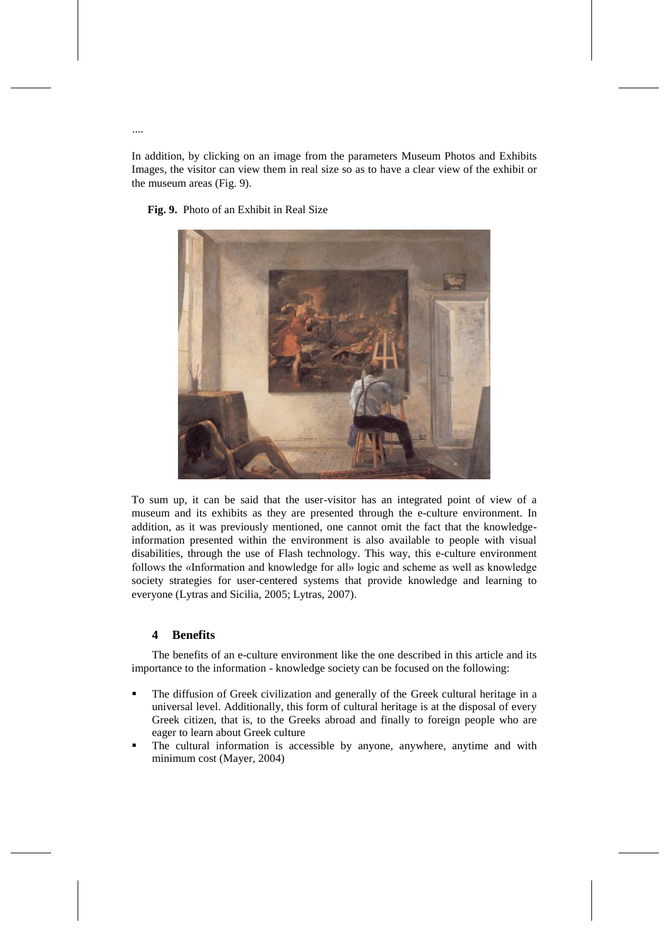In addition, by clicking on an image from the parameters Museum Photos and Exhibits Images, the visitor can view them in real size so as to have a clear view of the exhibit or the museum areas (Fig. 9).



**Fig. 9.** Photo of an Exhibit in Real Size

To sum up, it can be said that the user-visitor has an integrated point of view of a museum and its exhibits as they are presented through the e-culture environment. In addition, as it was previously mentioned, one cannot omit the fact that the knowledgeinformation presented within the environment is also available to people with visual disabilities, through the use of Flash technology. This way, this e-culture environment follows the «Information and knowledge for all» logic and scheme as well as knowledge society strategies for user-centered systems that provide knowledge and learning to everyone (Lytras and Sicilia, 2005; Lytras, 2007).

## **4 Benefits**

The benefits of an e-culture environment like the one described in this article and its importance to the information - knowledge society can be focused on the following:

- The diffusion of Greek civilization and generally of the Greek cultural heritage in a universal level. Additionally, this form of cultural heritage is at the disposal of every Greek citizen, that is, to the Greeks abroad and finally to foreign people who are eager to learn about Greek culture
- The cultural information is accessible by anyone, anywhere, anytime and with minimum cost (Mayer, 2004)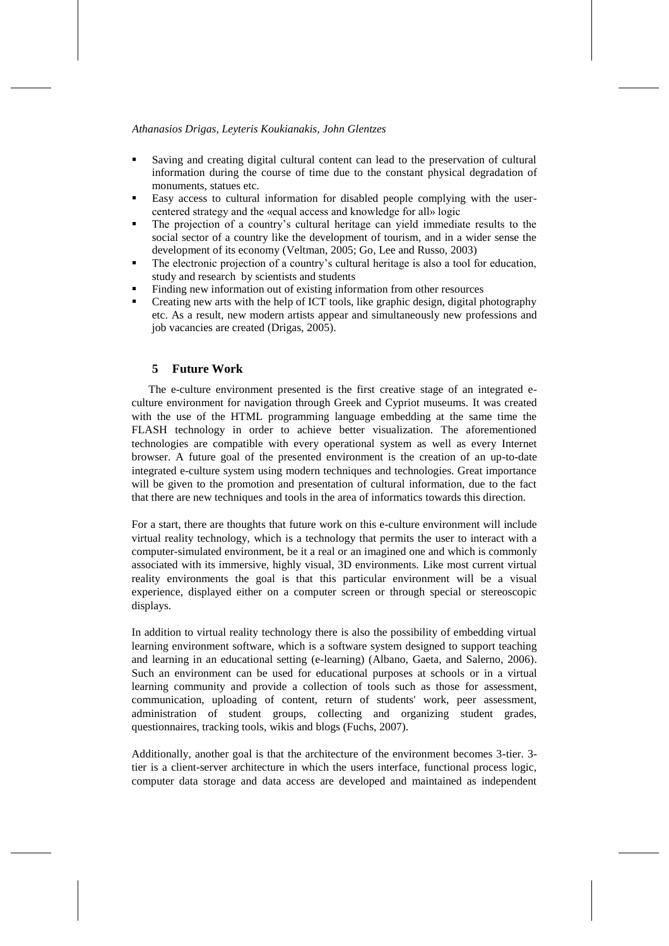- Saving and creating digital cultural content can lead to the preservation of cultural information during the course of time due to the constant physical degradation of monuments, statues etc.
- Easy access to cultural information for disabled people complying with the usercentered strategy and the «equal access and knowledge for all» logic
- The projection of a country"s cultural heritage can yield immediate results to the social sector of a country like the development of tourism, and in a wider sense the development of its economy (Veltman, 2005; Go, Lee and Russo, 2003)
- The electronic projection of a country's cultural heritage is also a tool for education, study and research by scientists and students
- Finding new information out of existing information from other resources
- Creating new arts with the help of ICT tools, like graphic design, digital photography etc. As a result, new modern artists appear and simultaneously new professions and job vacancies are created (Drigas, 2005).

# **5 Future Work**

The e-culture environment presented is the first creative stage of an integrated eculture environment for navigation through Greek and Cypriot museums. It was created with the use of the HTML programming language embedding at the same time the FLASH technology in order to achieve better visualization. The aforementioned technologies are compatible with every operational system as well as every Internet browser. A future goal of the presented environment is the creation of an up-to-date integrated e-culture system using modern techniques and technologies. Great importance will be given to the promotion and presentation of cultural information, due to the fact that there are new techniques and tools in the area of informatics towards this direction.

For a start, there are thoughts that future work on this e-culture environment will include virtual reality technology, which is a technology that permits the user to interact with a computer-simulated environment, be it a real or an imagined one and which is commonly associated with its immersive, highly visual, 3D environments. Like most current virtual reality environments the goal is that this particular environment will be a visual experience, displayed either on a computer screen or through special or stereoscopic displays.

In addition to virtual reality technology there is also the possibility of embedding virtual learning environment software, which is a software system designed to support teaching and learning in an educational setting (e-learning) (Albano, Gaeta, and Salerno, 2006). Such an environment can be used for educational purposes at schools or in a virtual learning community and provide a collection of tools such as those for assessment, communication, uploading of content, return of students' work, peer assessment, administration of student groups, collecting and organizing student grades, questionnaires, tracking tools, wikis and blogs (Fuchs, 2007).

Additionally, another goal is that the architecture of the environment becomes 3-tier. 3 tier is a client-server architecture in which the users interface, functional process logic, computer data storage and data access are developed and maintained as independent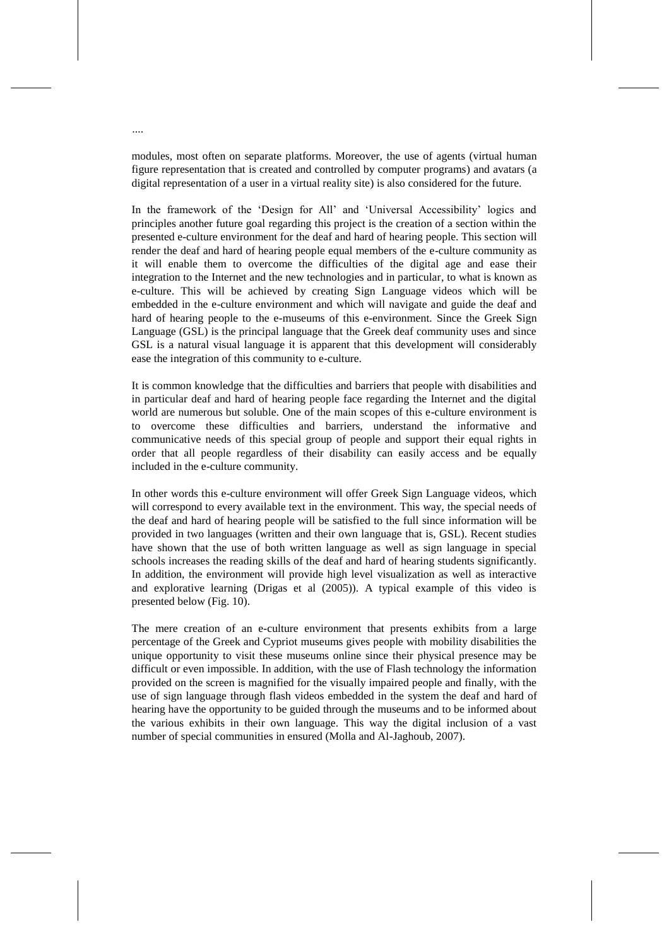modules, most often on separate platforms. Moreover, the use of agents (virtual human figure representation that is created and controlled by computer programs) and avatars (a digital representation of a user in a virtual reality site) is also considered for the future.

In the framework of the "Design for All" and "Universal Accessibility" logics and principles another future goal regarding this project is the creation of a section within the presented e-culture environment for the deaf and hard of hearing people. This section will render the deaf and hard of hearing people equal members of the e-culture community as it will enable them to overcome the difficulties of the digital age and ease their integration to the Internet and the new technologies and in particular, to what is known as e-culture. This will be achieved by creating Sign Language videos which will be embedded in the e-culture environment and which will navigate and guide the deaf and hard of hearing people to the e-museums of this e-environment. Since the Greek Sign Language (GSL) is the principal language that the Greek deaf community uses and since GSL is a natural visual language it is apparent that this development will considerably ease the integration of this community to e-culture.

It is common knowledge that the difficulties and barriers that people with disabilities and in particular deaf and hard of hearing people face regarding the Internet and the digital world are numerous but soluble. One of the main scopes of this e-culture environment is to overcome these difficulties and barriers, understand the informative and communicative needs of this special group of people and support their equal rights in order that all people regardless of their disability can easily access and be equally included in the e-culture community.

In other words this e-culture environment will offer Greek Sign Language videos, which will correspond to every available text in the environment. This way, the special needs of the deaf and hard of hearing people will be satisfied to the full since information will be provided in two languages (written and their own language that is, GSL). Recent studies have shown that the use of both written language as well as sign language in special schools increases the reading skills of the deaf and hard of hearing students significantly. In addition, the environment will provide high level visualization as well as interactive and explorative learning (Drigas et al (2005)). A typical example of this video is presented below (Fig. 10).

The mere creation of an e-culture environment that presents exhibits from a large percentage of the Greek and Cypriot museums gives people with mobility disabilities the unique opportunity to visit these museums online since their physical presence may be difficult or even impossible. In addition, with the use of Flash technology the information provided on the screen is magnified for the visually impaired people and finally, with the use of sign language through flash videos embedded in the system the deaf and hard of hearing have the opportunity to be guided through the museums and to be informed about the various exhibits in their own language. This way the digital inclusion of a vast number of special communities in ensured (Molla and Al-Jaghoub, 2007).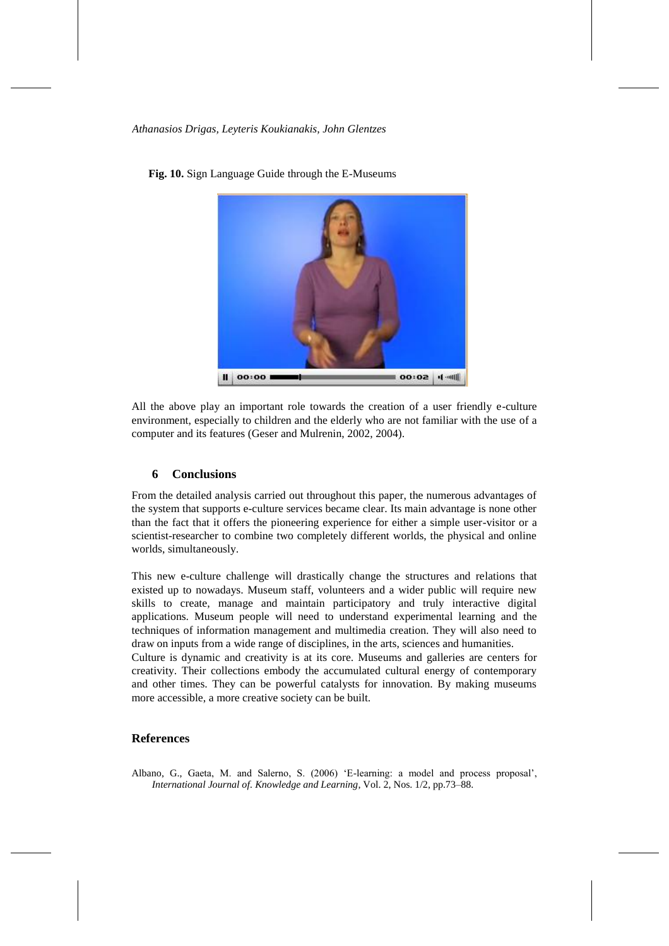

**Fig. 10.** Sign Language Guide through the E-Museums

All the above play an important role towards the creation of a user friendly e-culture environment, especially to children and the elderly who are not familiar with the use of a computer and its features (Geser and Mulrenin, 2002, 2004).

# **6 Conclusions**

From the detailed analysis carried out throughout this paper, the numerous advantages of the system that supports e-culture services became clear. Its main advantage is none other than the fact that it offers the pioneering experience for either a simple user-visitor or a scientist-researcher to combine two completely different worlds, the physical and online worlds, simultaneously.

This new e-culture challenge will drastically change the structures and relations that existed up to nowadays. Museum staff, volunteers and a wider public will require new skills to create, manage and maintain participatory and truly interactive digital applications. Museum people will need to understand experimental learning and the techniques of information management and multimedia creation. They will also need to draw on inputs from a wide range of disciplines, in the arts, sciences and humanities.

Culture is dynamic and creativity is at its core. Museums and galleries are centers for creativity. Their collections embody the accumulated cultural energy of contemporary and other times. They can be powerful catalysts for innovation. By making museums more accessible, a more creative society can be built.

# **References**

Albano, G., Gaeta, M. and Salerno, S. (2006) "E-learning: a model and process proposal", *International Journal of. Knowledge and Learning*, Vol. 2, Nos. 1/2, pp.73–88.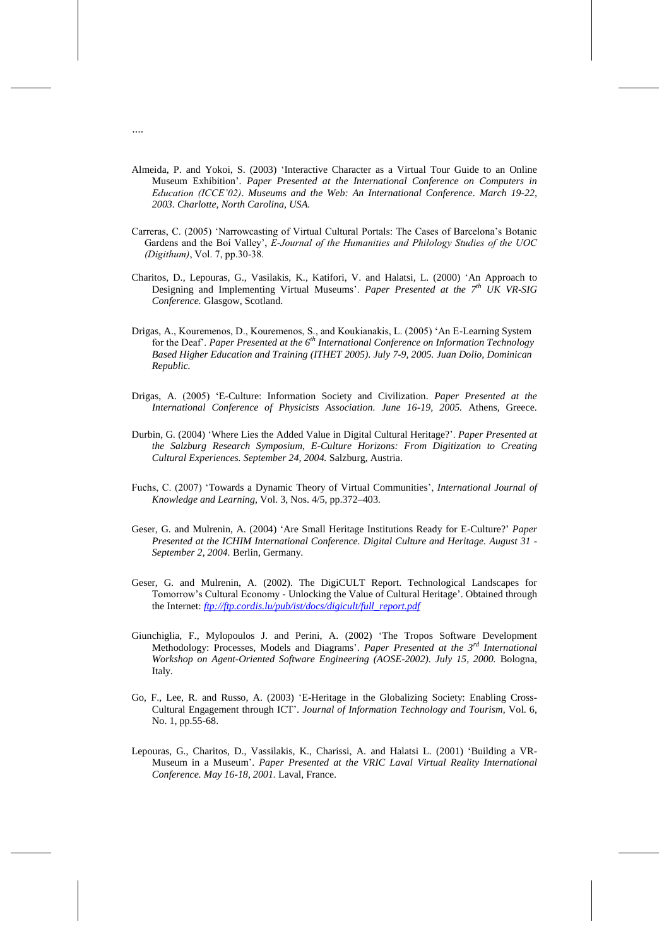- Almeida, P. and Yokoi, S. (2003) "Interactive Character as a Virtual Tour Guide to an Online Museum Exhibition". *Paper Presented at the International Conference on Computers in Education (ICCE'02)*. *Museums and the Web: An International Conference. March 19-22, 2003. Charlotte, North Carolina, USA.*
- Carreras, C. (2005) 'Narrowcasting of Virtual Cultural Portals: The Cases of Barcelona's Botanic Gardens and the Boí Valley', *E-Journal of the Humanities and Philology Studies of the UOC (Digithum)*, Vol. 7, pp.30-38.
- Charitos, D., Lepouras, G., Vasilakis, K., Katifori, V. and Halatsi, L. (2000) "An Approach to Designing and Implementing Virtual Museums'. Paper Presented at the 7<sup>th</sup> UK VR-SIG *Conference.* Glasgow, Scotland.
- Drigas, A., Kouremenos, D., Kouremenos, S., and Koukianakis, L. (2005) "An E-Learning System for the Deaf". *Paper Presented at the 6th International Conference on Information Technology Based Higher Education and Training (ITHET 2005). July 7-9, 2005. Juan Dolio, Dominican Republic.*
- Drigas, A. (2005) "E-Culture: Information Society and Civilization. *Paper Presented at the International Conference of Physicists Association. June 16-19, 2005.* Athens, Greece.
- Durbin, G. (2004) "Where Lies the Added Value in Digital Cultural Heritage?". *Paper Presented at the Salzburg Research Symposium, E-Culture Horizons: From Digitization to Creating Cultural Experiences. September 24, 2004.* Salzburg, Austria.
- Fuchs, C. (2007) "Towards a Dynamic Theory of Virtual Communities", *International Journal of Knowledge and Learning*, Vol. 3, Nos. 4/5, pp.372–403.
- Geser, G. and Mulrenin, A. (2004) "Are Small Heritage Institutions Ready for E-Culture?" *Paper Presented at the ICHIM International Conference. Digital Culture and Heritage. August 31 - September 2, 2004.* Berlin, Germany.
- Geser, G. and Mulrenin, A. (2002). The DigiCULT Report. Technological Landscapes for Tomorrow"s Cultural Economy - Unlocking the Value of Cultural Heritage". Obtained through the Internet: *[ftp://ftp.cordis.lu/pub/ist/docs/digicult/full\\_report.pdf](ftp://ftp.cordis.lu/pub/ist/docs/digicult/full_report.pdf)*
- Giunchiglia, F., Mylopoulos J. and Perini, A. (2002) "The Tropos Software Development Methodology: Processes, Models and Diagrams'. Paper Presented at the 3<sup>rd</sup> International *Workshop on Agent-Oriented Software Engineering (AOSE-2002). July 15, 2000.* Bologna, Italy.
- Go, F., Lee, R. and Russo, A. (2003) "E-Heritage in the Globalizing Society: Enabling Cross-Cultural Engagement through ICT". *Journal of Information Technology and Tourism,* Vol. 6, No. 1, pp.55-68.
- Lepouras, G., Charitos, D., Vassilakis, K., Charissi, A. and Halatsi L. (2001) "Building a VR-Museum in a Museum". *Paper Presented at the VRIC Laval Virtual Reality International Conference. May 16-18, 2001.* Laval, France.